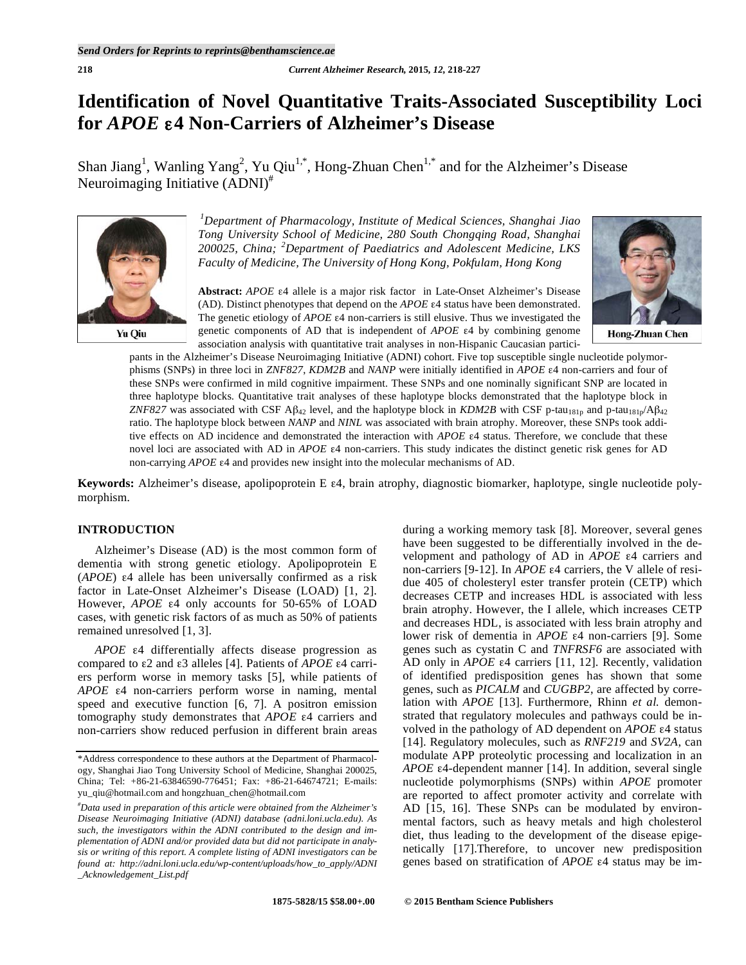# **Identification of Novel Quantitative Traits-Associated Susceptibility Loci for** *APOE* ε**4 Non-Carriers of Alzheimer's Disease**

Shan Jiang<sup>1</sup>, Wanling Yang<sup>2</sup>, Yu Qiu<sup>1,\*</sup>, Hong-Zhuan Chen<sup>1,\*</sup> and for the Alzheimer's Disease Neuroimaging Initiative (ADNI)<sup>#</sup>



*1 Department of Pharmacology, Institute of Medical Sciences, Shanghai Jiao Tong University School of Medicine, 280 South Chongqing Road, Shanghai 200025, China; <sup>2</sup> Department of Paediatrics and Adolescent Medicine, LKS Faculty of Medicine, The University of Hong Kong, Pokfulam, Hong Kong*

**Abstract:** *APOE* ε4 allele is a major risk factor in Late-Onset Alzheimer's Disease (AD). Distinct phenotypes that depend on the *APOE* ε4 status have been demonstrated. The genetic etiology of *APOE* ε4 non-carriers is still elusive. Thus we investigated the genetic components of AD that is independent of *APOE* ε4 by combining genome association analysis with quantitative trait analyses in non-Hispanic Caucasian partici-



pants in the Alzheimer's Disease Neuroimaging Initiative (ADNI) cohort. Five top susceptible single nucleotide polymorphisms (SNPs) in three loci in *ZNF827*, *KDM2B* and *NANP* were initially identified in *APOE* ε4 non-carriers and four of these SNPs were confirmed in mild cognitive impairment. These SNPs and one nominally significant SNP are located in three haplotype blocks. Quantitative trait analyses of these haplotype blocks demonstrated that the haplotype block in *ZNF827* was associated with CSF A $\beta_{42}$  level, and the haplotype block in *KDM2B* with CSF p-tau<sub>181p</sub> and p-tau<sub>181p</sub>/A $\beta_{42}$ ratio. The haplotype block between *NANP* and *NINL* was associated with brain atrophy. Moreover, these SNPs took additive effects on AD incidence and demonstrated the interaction with *APOE* ε4 status. Therefore, we conclude that these novel loci are associated with AD in *APOE* ε4 non-carriers. This study indicates the distinct genetic risk genes for AD non-carrying *APOE* ε4 and provides new insight into the molecular mechanisms of AD.

**Keywords:** Alzheimer's disease, apolipoprotein E ε4, brain atrophy, diagnostic biomarker, haplotype, single nucleotide polymorphism.

# **INTRODUCTION**

Alzheimer's Disease (AD) is the most common form of dementia with strong genetic etiology. Apolipoprotein E (*APOE*) ε4 allele has been universally confirmed as a risk factor in Late-Onset Alzheimer's Disease (LOAD) [1, 2]. However, *APOE* ε4 only accounts for 50-65% of LOAD cases, with genetic risk factors of as much as 50% of patients remained unresolved [1, 3].

*APOE* ε4 differentially affects disease progression as compared to ε2 and ε3 alleles [4]. Patients of *APOE* ε4 carriers perform worse in memory tasks [5], while patients of *APOE* ε4 non-carriers perform worse in naming, mental speed and executive function [6, 7]. A positron emission tomography study demonstrates that *APOE* ε4 carriers and non-carriers show reduced perfusion in different brain areas during a working memory task [8]. Moreover, several genes have been suggested to be differentially involved in the development and pathology of AD in *APOE* ε4 carriers and non-carriers [9-12]. In *APOE* ε4 carriers, the V allele of residue 405 of cholesteryl ester transfer protein (CETP) which decreases CETP and increases HDL is associated with less brain atrophy. However, the I allele, which increases CETP and decreases HDL, is associated with less brain atrophy and lower risk of dementia in *APOE* ε4 non-carriers [9]. Some genes such as cystatin C and *TNFRSF6* are associated with AD only in *APOE* ε4 carriers [11, 12]. Recently, validation of identified predisposition genes has shown that some genes, such as *PICALM* and *CUGBP2*, are affected by correlation with *APOE* [13]. Furthermore, Rhinn *et al.* demonstrated that regulatory molecules and pathways could be involved in the pathology of AD dependent on *APOE* ε4 status [14]. Regulatory molecules, such as *RNF219* and *SV2A*, can modulate APP proteolytic processing and localization in an *APOE* ε4-dependent manner [14]. In addition, several single nucleotide polymorphisms (SNPs) within *APOE* promoter are reported to affect promoter activity and correlate with AD [15, 16]. These SNPs can be modulated by environmental factors, such as heavy metals and high cholesterol diet, thus leading to the development of the disease epigenetically [17].Therefore, to uncover new predisposition genes based on stratification of *APOE* ε4 status may be im-

<sup>\*</sup>Address correspondence to these authors at the Department of Pharmacology, Shanghai Jiao Tong University School of Medicine, Shanghai 200025, China; Tel: +86-21-63846590-776451; Fax: +86-21-64674721; E-mails: yu\_qiu@hotmail.com and hongzhuan\_chen@hotmail.com

*<sup>#</sup> Data used in preparation of this article were obtained from the Alzheimer's Disease Neuroimaging Initiative (ADNI) database (adni.loni.ucla.edu). As such, the investigators within the ADNI contributed to the design and implementation of ADNI and/or provided data but did not participate in analysis or writing of this report. A complete listing of ADNI investigators can be found at: http://adni.loni.ucla.edu/wp-content/uploads/how\_to\_apply/ADNI \_Acknowledgement\_List.pdf*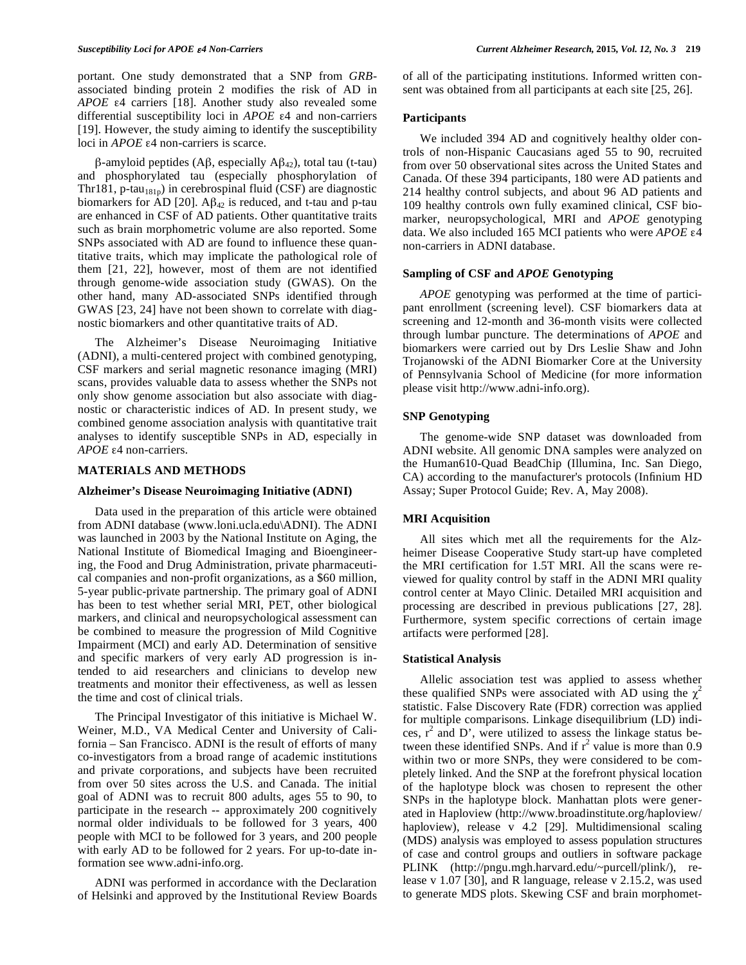portant. One study demonstrated that a SNP from *GRB*associated binding protein 2 modifies the risk of AD in *APOE* ε4 carriers [18]. Another study also revealed some differential susceptibility loci in *APOE* ε4 and non-carriers [19]. However, the study aiming to identify the susceptibility loci in *APOE* ε4 non-carriers is scarce.

β-amyloid peptides (Aβ, especially Aβ42), total tau (t-tau) and phosphorylated tau (especially phosphorylation of Thr181, p-tau<sub>181p</sub>) in cerebrospinal fluid (CSF) are diagnostic biomarkers for AD [20].  $\mathbf{A}\beta_{42}$  is reduced, and t-tau and p-tau are enhanced in CSF of AD patients. Other quantitative traits such as brain morphometric volume are also reported. Some SNPs associated with AD are found to influence these quantitative traits, which may implicate the pathological role of them [21, 22], however, most of them are not identified through genome-wide association study (GWAS). On the other hand, many AD-associated SNPs identified through GWAS [23, 24] have not been shown to correlate with diagnostic biomarkers and other quantitative traits of AD.

The Alzheimer's Disease Neuroimaging Initiative (ADNI), a multi-centered project with combined genotyping, CSF markers and serial magnetic resonance imaging (MRI) scans, provides valuable data to assess whether the SNPs not only show genome association but also associate with diagnostic or characteristic indices of AD. In present study, we combined genome association analysis with quantitative trait analyses to identify susceptible SNPs in AD, especially in *APOE* ε4 non-carriers.

## **MATERIALS AND METHODS**

#### **Alzheimer's Disease Neuroimaging Initiative (ADNI)**

Data used in the preparation of this article were obtained from ADNI database (www.loni.ucla.edu\ADNI). The ADNI was launched in 2003 by the National Institute on Aging, the National Institute of Biomedical Imaging and Bioengineering, the Food and Drug Administration, private pharmaceutical companies and non-profit organizations, as a \$60 million, 5-year public-private partnership. The primary goal of ADNI has been to test whether serial MRI, PET, other biological markers, and clinical and neuropsychological assessment can be combined to measure the progression of Mild Cognitive Impairment (MCI) and early AD. Determination of sensitive and specific markers of very early AD progression is intended to aid researchers and clinicians to develop new treatments and monitor their effectiveness, as well as lessen the time and cost of clinical trials.

The Principal Investigator of this initiative is Michael W. Weiner, M.D., VA Medical Center and University of California – San Francisco. ADNI is the result of efforts of many co-investigators from a broad range of academic institutions and private corporations, and subjects have been recruited from over 50 sites across the U.S. and Canada. The initial goal of ADNI was to recruit 800 adults, ages 55 to 90, to participate in the research -- approximately 200 cognitively normal older individuals to be followed for 3 years, 400 people with MCI to be followed for 3 years, and 200 people with early AD to be followed for 2 years. For up-to-date information see www.adni-info.org.

ADNI was performed in accordance with the Declaration of Helsinki and approved by the Institutional Review Boards of all of the participating institutions. Informed written consent was obtained from all participants at each site [25, 26].

## **Participants**

We included 394 AD and cognitively healthy older controls of non-Hispanic Caucasians aged 55 to 90, recruited from over 50 observational sites across the United States and Canada. Of these 394 participants, 180 were AD patients and 214 healthy control subjects, and about 96 AD patients and 109 healthy controls own fully examined clinical, CSF biomarker, neuropsychological, MRI and *APOE* genotyping data. We also included 165 MCI patients who were *APOE* ε4 non-carriers in ADNI database.

## **Sampling of CSF and** *APOE* **Genotyping**

*APOE* genotyping was performed at the time of participant enrollment (screening level). CSF biomarkers data at screening and 12-month and 36-month visits were collected through lumbar puncture. The determinations of *APOE* and biomarkers were carried out by Drs Leslie Shaw and John Trojanowski of the ADNI Biomarker Core at the University of Pennsylvania School of Medicine (for more information please visit http://www.adni-info.org).

## **SNP Genotyping**

The genome-wide SNP dataset was downloaded from ADNI website. All genomic DNA samples were analyzed on the Human610-Quad BeadChip (Illumina, Inc. San Diego, CA) according to the manufacturer's protocols (Infinium HD Assay; Super Protocol Guide; Rev. A, May 2008).

# **MRI Acquisition**

All sites which met all the requirements for the Alzheimer Disease Cooperative Study start-up have completed the MRI certification for 1.5T MRI. All the scans were reviewed for quality control by staff in the ADNI MRI quality control center at Mayo Clinic. Detailed MRI acquisition and processing are described in previous publications [27, 28]. Furthermore, system specific corrections of certain image artifacts were performed [28].

#### **Statistical Analysis**

Allelic association test was applied to assess whether these qualified SNPs were associated with AD using the  $\chi^2$ statistic. False Discovery Rate (FDR) correction was applied for multiple comparisons. Linkage disequilibrium (LD) indices,  $r^2$  and D', were utilized to assess the linkage status between these identified SNPs. And if  $r^2$  value is more than 0.9 within two or more SNPs, they were considered to be completely linked. And the SNP at the forefront physical location of the haplotype block was chosen to represent the other SNPs in the haplotype block. Manhattan plots were generated in Haploview (http://www.broadinstitute.org/haploview/ haploview), release v 4.2 [29]. Multidimensional scaling (MDS) analysis was employed to assess population structures of case and control groups and outliers in software package PLINK (http://pngu.mgh.harvard.edu/~purcell/plink/), release v 1.07 [30], and R language, release v 2.15.2, was used to generate MDS plots. Skewing CSF and brain morphomet-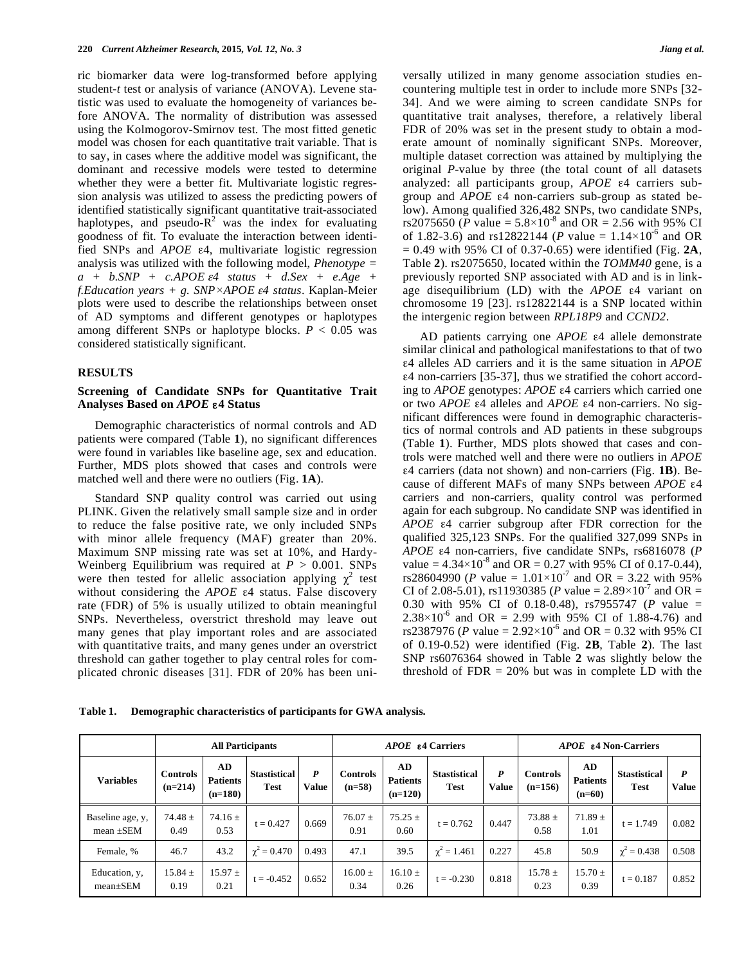ric biomarker data were log-transformed before applying student-*t* test or analysis of variance (ANOVA). Levene statistic was used to evaluate the homogeneity of variances before ANOVA. The normality of distribution was assessed using the Kolmogorov-Smirnov test. The most fitted genetic model was chosen for each quantitative trait variable. That is to say, in cases where the additive model was significant, the dominant and recessive models were tested to determine whether they were a better fit. Multivariate logistic regression analysis was utilized to assess the predicting powers of identified statistically significant quantitative trait-associated haplotypes, and pseudo- $R^2$  was the index for evaluating goodness of fit. To evaluate the interaction between identified SNPs and *APOE* ε4, multivariate logistic regression analysis was utilized with the following model, *Phenotype = a + b.SNP + c.APOE* <sup>ε</sup>*4 status + d.Sex + e.Age + f.Education years + g. SNP×APOE* <sup>ε</sup>*4 status*. Kaplan-Meier plots were used to describe the relationships between onset of AD symptoms and different genotypes or haplotypes among different SNPs or haplotype blocks.  $P < 0.05$  was considered statistically significant.

## **RESULTS**

# **Screening of Candidate SNPs for Quantitative Trait Analyses Based on** *APOE* ε**4 Status**

Demographic characteristics of normal controls and AD patients were compared (Table **1**), no significant differences were found in variables like baseline age, sex and education. Further, MDS plots showed that cases and controls were matched well and there were no outliers (Fig. **1A**).

Standard SNP quality control was carried out using PLINK. Given the relatively small sample size and in order to reduce the false positive rate, we only included SNPs with minor allele frequency (MAF) greater than 20%. Maximum SNP missing rate was set at 10%, and Hardy-Weinberg Equilibrium was required at *P* > 0.001. SNPs were then tested for allelic association applying  $\chi^2$  test without considering the *APOE* ε4 status. False discovery rate (FDR) of 5% is usually utilized to obtain meaningful SNPs. Nevertheless, overstrict threshold may leave out many genes that play important roles and are associated with quantitative traits, and many genes under an overstrict threshold can gather together to play central roles for complicated chronic diseases [31]. FDR of 20% has been universally utilized in many genome association studies encountering multiple test in order to include more SNPs [32- 34]. And we were aiming to screen candidate SNPs for quantitative trait analyses, therefore, a relatively liberal FDR of 20% was set in the present study to obtain a moderate amount of nominally significant SNPs. Moreover, multiple dataset correction was attained by multiplying the original *P*-value by three (the total count of all datasets analyzed: all participants group, *APOE* ε4 carriers subgroup and *APOE* ε4 non-carriers sub-group as stated below). Among qualified 326,482 SNPs, two candidate SNPs, rs2075650 (*P* value =  $5.8 \times 10^{-8}$  and OR = 2.56 with 95% CI of 1.82-3.6) and rs12822144 (*P* value =  $1.14 \times 10^{-6}$  and OR = 0.49 with 95% CI of 0.37-0.65) were identified (Fig. **2A**, Table **2**). rs2075650, located within the *TOMM40* gene, is a previously reported SNP associated with AD and is in linkage disequilibrium (LD) with the *APOE* ε4 variant on chromosome 19 [23]. rs12822144 is a SNP located within the intergenic region between *RPL18P9* and *CCND2*.

AD patients carrying one *APOE* ε4 allele demonstrate similar clinical and pathological manifestations to that of two ε4 alleles AD carriers and it is the same situation in *APOE*  ε4 non-carriers [35-37], thus we stratified the cohort according to *APOE* genotypes: *APOE* ε4 carriers which carried one or two *APOE* ε4 alleles and *APOE* ε4 non-carriers. No significant differences were found in demographic characteristics of normal controls and AD patients in these subgroups (Table **1**). Further, MDS plots showed that cases and controls were matched well and there were no outliers in *APOE* ε4 carriers (data not shown) and non-carriers (Fig. **1B**). Because of different MAFs of many SNPs between *APOE* ε4 carriers and non-carriers, quality control was performed again for each subgroup. No candidate SNP was identified in *APOE* ε4 carrier subgroup after FDR correction for the qualified 325,123 SNPs. For the qualified 327,099 SNPs in *APOE* ε4 non-carriers, five candidate SNPs, rs6816078 (*P* value =  $4.34 \times 10^{-8}$  and OR = 0.27 with 95% CI of 0.17-0.44), rs28604990 (*P* value =  $1.01 \times 10^{-7}$  and OR = 3.22 with 95% CI of 2.08-5.01), rs11930385 (*P* value =  $2.89 \times 10^{-7}$  and OR = 0.30 with 95% CI of 0.18-0.48), rs7955747 (*P* value =  $2.38 \times 10^{-6}$  and OR = 2.99 with 95% CI of 1.88-4.76) and rs2387976 (*P* value =  $2.92 \times 10^{-6}$  and OR = 0.32 with 95% CI of 0.19-0.52) were identified (Fig. **2B**, Table **2**). The last SNP rs6076364 showed in Table **2** was slightly below the threshold of  $FDR = 20\%$  but was in complete LD with the

| Table 1. |  | Demographic characteristics of participants for GWA analysis. |
|----------|--|---------------------------------------------------------------|
|          |  |                                                               |

|                                    |                              | <b>All Participants</b>            |                                    |                                  | APOE 84 Carriers            |                                    |                                    |                   | <b>APOE £4 Non-Carriers</b>  |                                    |                             |                                  |
|------------------------------------|------------------------------|------------------------------------|------------------------------------|----------------------------------|-----------------------------|------------------------------------|------------------------------------|-------------------|------------------------------|------------------------------------|-----------------------------|----------------------------------|
| <b>Variables</b>                   | <b>Controls</b><br>$(n=214)$ | AD<br><b>Patients</b><br>$(n=180)$ | <b>Stastistical</b><br><b>Test</b> | $\boldsymbol{P}$<br><b>Value</b> | <b>Controls</b><br>$(n=58)$ | AD<br><b>Patients</b><br>$(n=120)$ | <b>Stastistical</b><br><b>Test</b> | P<br><b>Value</b> | <b>Controls</b><br>$(n=156)$ | AD.<br><b>Patients</b><br>$(n=60)$ | <b>Stastistical</b><br>Test | $\boldsymbol{P}$<br><b>Value</b> |
| Baseline age, y,<br>mean $\pm$ SEM | 74.48 $\pm$<br>0.49          | $74.16 \pm$<br>0.53                | $t = 0.427$                        | 0.669                            | $76.07 \pm$<br>0.91         | $75.25 \pm$<br>0.60                | $t = 0.762$                        | 0.447             | $73.88 \pm$<br>0.58          | $71.89 \pm$<br>1.01                | $t = 1.749$                 | 0.082                            |
| Female, %                          | 46.7                         | 43.2                               | $\chi^2 = 0.470$                   | 0.493                            | 47.1                        | 39.5                               | $\chi^2 = 1.461$                   | 0.227             | 45.8                         | 50.9                               | $\chi^2 = 0.438$            | 0.508                            |
| Education, y,<br>$mean \pm SEM$    | $15.84 \pm$<br>0.19          | $15.97 \pm$<br>0.21                | $t = -0.452$                       | 0.652                            | $16.00 \pm$<br>0.34         | $16.10 \pm$<br>0.26                | $t = -0.230$                       | 0.818             | $15.78 \pm$<br>0.23          | $15.70 \pm$<br>0.39                | $t = 0.187$                 | 0.852                            |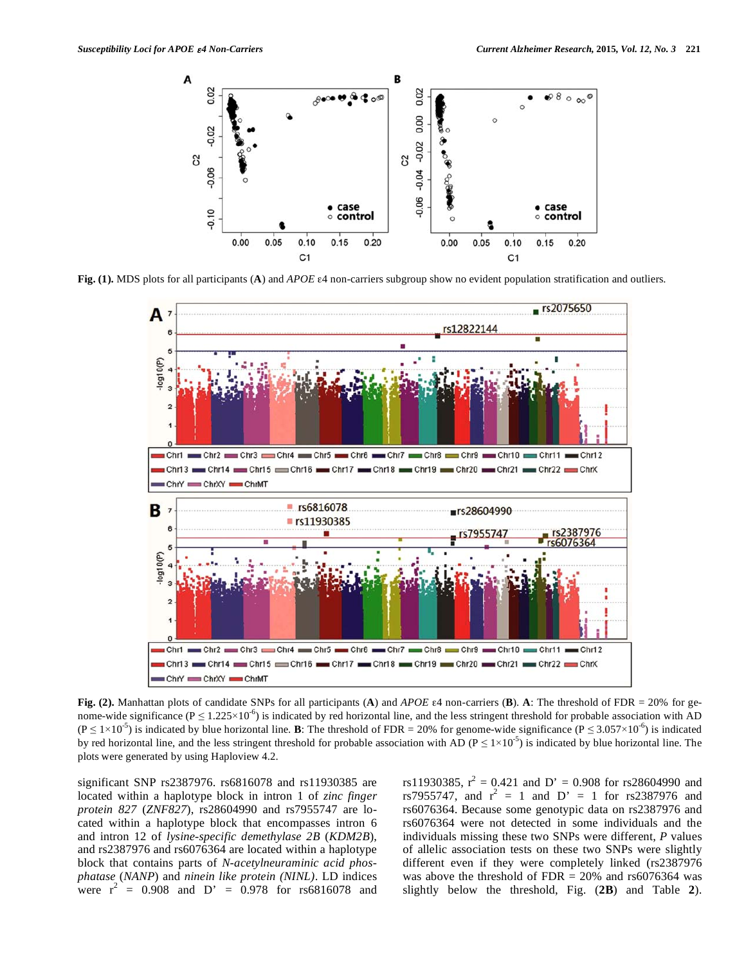

**Fig. (1).** MDS plots for all participants (**A**) and *APOE* ε4 non-carriers subgroup show no evident population stratification and outliers.



**Fig. (2).** Manhattan plots of candidate SNPs for all participants (**A**) and *APOE* ε4 non-carriers (**B**). **A**: The threshold of FDR = 20% for genome-wide significance ( $P \le 1.225 \times 10^{-6}$ ) is indicated by red horizontal line, and the less stringent threshold for probable association with AD  $(P \le 1 \times 10^{-5})$  is indicated by blue horizontal line. **B**: The threshold of FDR = 20% for genome-wide significance (P  $\le 3.057 \times 10^{-6}$ ) is indicated by red horizontal line, and the less stringent threshold for probable association with AD ( $P \le 1 \times 10^{-5}$ ) is indicated by blue horizontal line. The plots were generated by using Haploview 4.2.

significant SNP rs2387976. rs6816078 and rs11930385 are located within a haplotype block in intron 1 of *zinc finger protein 827* (*ZNF827*), rs28604990 and rs7955747 are located within a haplotype block that encompasses intron 6 and intron 12 of *lysine-specific demethylase 2B* (*KDM2B*), and rs2387976 and rs6076364 are located within a haplotype block that contains parts of *N-acetylneuraminic acid phosphatase* (*NANP*) and *ninein like protein (NINL)*. LD indices were  $r^2 = 0.908$  and  $D' = 0.978$  for rs6816078 and

rs11930385,  $r^2 = 0.421$  and D' = 0.908 for rs28604990 and rs7955747, and  $r^2 = 1$  and  $D' = 1$  for rs2387976 and rs6076364. Because some genotypic data on rs2387976 and rs6076364 were not detected in some individuals and the individuals missing these two SNPs were different, *P* values of allelic association tests on these two SNPs were slightly different even if they were completely linked (rs2387976 was above the threshold of  $FDR = 20\%$  and rs6076364 was slightly below the threshold, Fig. (**2B**) and Table **2**).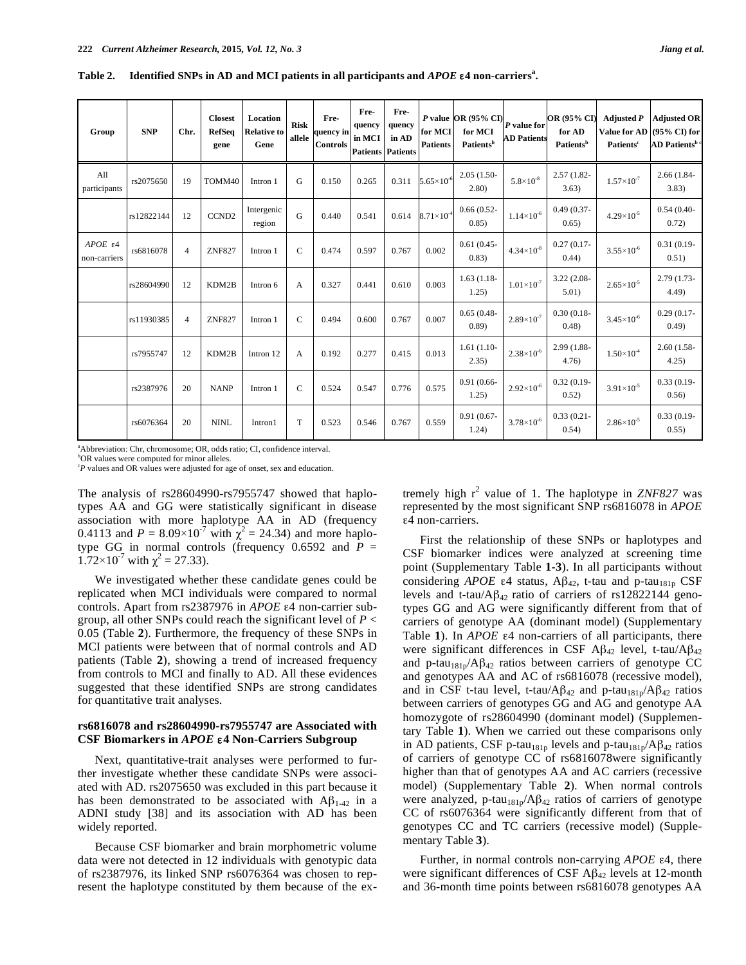| Group                                  | <b>SNP</b> | Chr.           | <b>Closest</b><br><b>RefSeq</b><br>gene | Location<br><b>Relative to</b><br>Gene | <b>Risk</b><br>allele | Fre-<br>quency in<br><b>Controls</b> | Fre-<br>quency<br>in MCI | Fre-<br>quency<br>in AD<br><b>Patients Patients</b> | for MCI<br><b>Patients</b> | <i>P</i> value OR (95% CI) $P$ value for<br>for MCI<br>Patients <sup>b</sup> | <b>AD Patients</b>           | <b>OR (95% CD</b><br>for AD<br>Patients <sup>b</sup> | <b>Adjusted P</b><br><b>Value for AD</b><br>Patients <sup>c</sup> | <b>Adjusted OR</b><br>$(95\% \text{ CI})$ for<br><b>AD Patients<sup>b c</sup></b> |
|----------------------------------------|------------|----------------|-----------------------------------------|----------------------------------------|-----------------------|--------------------------------------|--------------------------|-----------------------------------------------------|----------------------------|------------------------------------------------------------------------------|------------------------------|------------------------------------------------------|-------------------------------------------------------------------|-----------------------------------------------------------------------------------|
| A11<br>participants                    | rs2075650  | 19             | TOMM40                                  | Intron 1                               | G                     | 0.150                                | 0.265                    | 0.311                                               | $5.65\times10^{-6}$        | $2.05(1.50 -$<br>2.80)                                                       | $5.8 \times 10^{-8}$         | 2.57 (1.82-<br>3.63)                                 | $1.57\times10^{-7}$                                               | $2.66(1.84 -$<br>3.83)                                                            |
|                                        | rs12822144 | 12             | CCND <sub>2</sub>                       | Intergenic<br>region                   | G                     | 0.440                                | 0.541                    | 0.614                                               | $8.71\times10^{-4}$        | $0.66(0.52 -$<br>0.85)                                                       | $1.14\times10^{\text{-}6}$   | $0.49(0.37 -$<br>0.65)                               | $4.29\times10^{-5}$                                               | $0.54(0.40 -$<br>0.72)                                                            |
| $APOE$ $\varepsilon$ 4<br>non-carriers | rs6816078  | $\overline{4}$ | <b>ZNF827</b>                           | Intron 1                               | $\mathbf C$           | 0.474                                | 0.597                    | 0.767                                               | 0.002                      | $0.61(0.45 -$<br>(0.83)                                                      | $4.34\times10^{-8}$          | $0.27(0.17-$<br>(0.44)                               | $3.55 \times 10^{-6}$                                             | $0.31(0.19-$<br>0.51)                                                             |
|                                        | rs28604990 | 12             | KDM2B                                   | Intron 6                               | A                     | 0.327                                | 0.441                    | 0.610                                               | 0.003                      | $1.63(1.18-$<br>1.25)                                                        | $1.01 \times 10^{-7}$        | $3.22(2.08 -$<br>5.01                                | $2.65\times10^{-5}$                                               | 2.79 (1.73-<br>4.49                                                               |
|                                        | rs11930385 | $\overline{4}$ | <b>ZNF827</b>                           | Intron 1                               | $\mathbf C$           | 0.494                                | 0.600                    | 0.767                                               | 0.007                      | $0.65(0.48 -$<br>(0.89)                                                      | $2.89\times10^{-7}$          | $0.30(0.18 -$<br>(0.48)                              | $3.45 \times 10^{-6}$                                             | $0.29(0.17-$<br>(0.49)                                                            |
|                                        | rs7955747  | 12             | KDM2B                                   | Intron 12                              | A                     | 0.192                                | 0.277                    | 0.415                                               | 0.013                      | $1.61(1.10-$<br>2.35)                                                        | $2.38\times10^{-6}$          | 2.99 (1.88-<br>4.76                                  | $1.50\times10^{4}$                                                | $2.60(1.58 -$<br>4.25)                                                            |
|                                        | rs2387976  | 20             | <b>NANP</b>                             | Intron 1                               | $\mathbf C$           | 0.524                                | 0.547                    | 0.776                                               | 0.575                      | $0.91(0.66 -$<br>1.25)                                                       | $2.92{\times}10^{\text{-}6}$ | $0.32(0.19-$<br>0.52)                                | $3.91 \times 10^{-5}$                                             | $0.33(0.19-$<br>0.56)                                                             |
|                                        | rs6076364  | 20             | <b>NINL</b>                             | Intron1                                | T                     | 0.523                                | 0.546                    | 0.767                                               | 0.559                      | $0.91(0.67 -$<br>1.24)                                                       | $3.78 \times 10^{-6}$        | $0.33(0.21 -$<br>0.54)                               | $2.86\times10^{-5}$                                               | $0.33(0.19-$<br>0.55)                                                             |

**Table 2. Identified SNPs in AD and MCI patients in all participants and** *APOE* ε**4 non-carriersa .**

a Abbreviation: Chr, chromosome; OR, odds ratio; CI, confidence interval.

 ${}^{b}OR$  values were computed for minor alleles.

*P* values and OR values were adjusted for age of onset, sex and education.

The analysis of rs28604990-rs7955747 showed that haplotypes AA and GG were statistically significant in disease association with more haplotype AA in AD (frequency 0.4113 and  $P = 8.09 \times 10^{-7}$  with  $\chi^2 = 24.34$ ) and more haplotype GG in normal controls (frequency  $0.6592$  and  $P =$  $1.72 \times 10^{-7}$  with  $\chi^2 = 27.33$ ).

We investigated whether these candidate genes could be replicated when MCI individuals were compared to normal controls. Apart from rs2387976 in *APOE* ε4 non-carrier subgroup, all other SNPs could reach the significant level of *P* < 0.05 (Table **2**). Furthermore, the frequency of these SNPs in MCI patients were between that of normal controls and AD patients (Table **2**), showing a trend of increased frequency from controls to MCI and finally to AD. All these evidences suggested that these identified SNPs are strong candidates for quantitative trait analyses.

# **rs6816078 and rs28604990-rs7955747 are Associated with CSF Biomarkers in** *APOE* ε**4 Non-Carriers Subgroup**

Next, quantitative-trait analyses were performed to further investigate whether these candidate SNPs were associated with AD. rs2075650 was excluded in this part because it has been demonstrated to be associated with  $A\beta_{1-42}$  in a ADNI study [38] and its association with AD has been widely reported.

Because CSF biomarker and brain morphometric volume data were not detected in 12 individuals with genotypic data of rs2387976, its linked SNP rs6076364 was chosen to represent the haplotype constituted by them because of the ex-

tremely high r <sup>2</sup> value of 1. The haplotype in *ZNF827* was represented by the most significant SNP rs6816078 in *APOE* ε4 non-carriers.

First the relationship of these SNPs or haplotypes and CSF biomarker indices were analyzed at screening time point (Supplementary Table **1-3**). In all participants without considering *APOE* ε4 status,  $\mathbf{A}\beta_{42}$ , t-tau and p-tau<sub>181p</sub> CSF levels and t-tau/ $\text{A}\beta_{42}$  ratio of carriers of rs12822144 genotypes GG and AG were significantly different from that of carriers of genotype AA (dominant model) (Supplementary Table **1**). In *APOE* ε4 non-carriers of all participants, there were significant differences in CSF Aβ<sub>42</sub> level, t-tau/Aβ<sub>42</sub> and p-tau<sub>181p</sub>/A $\beta_{42}$  ratios between carriers of genotype CC and genotypes AA and AC of rs6816078 (recessive model), and in CSF t-tau level, t-tau/ $A\beta_{42}$  and p-tau<sub>181p</sub>/ $A\beta_{42}$  ratios between carriers of genotypes GG and AG and genotype AA homozygote of rs28604990 (dominant model) (Supplementary Table **1**). When we carried out these comparisons only in AD patients, CSF p-tau<sub>181p</sub> levels and p-tau<sub>181p</sub>/A $\beta_{42}$  ratios of carriers of genotype CC of rs6816078were significantly higher than that of genotypes AA and AC carriers (recessive model) (Supplementary Table **2**). When normal controls were analyzed, p-tau<sub>181p</sub>/ $\mathsf{A}\beta_{42}$  ratios of carriers of genotype CC of rs6076364 were significantly different from that of genotypes CC and TC carriers (recessive model) (Supplementary Table **3**).

Further, in normal controls non-carrying *APOE* ε4, there were significant differences of CSF  $A\beta_{42}$  levels at 12-month and 36-month time points between rs6816078 genotypes AA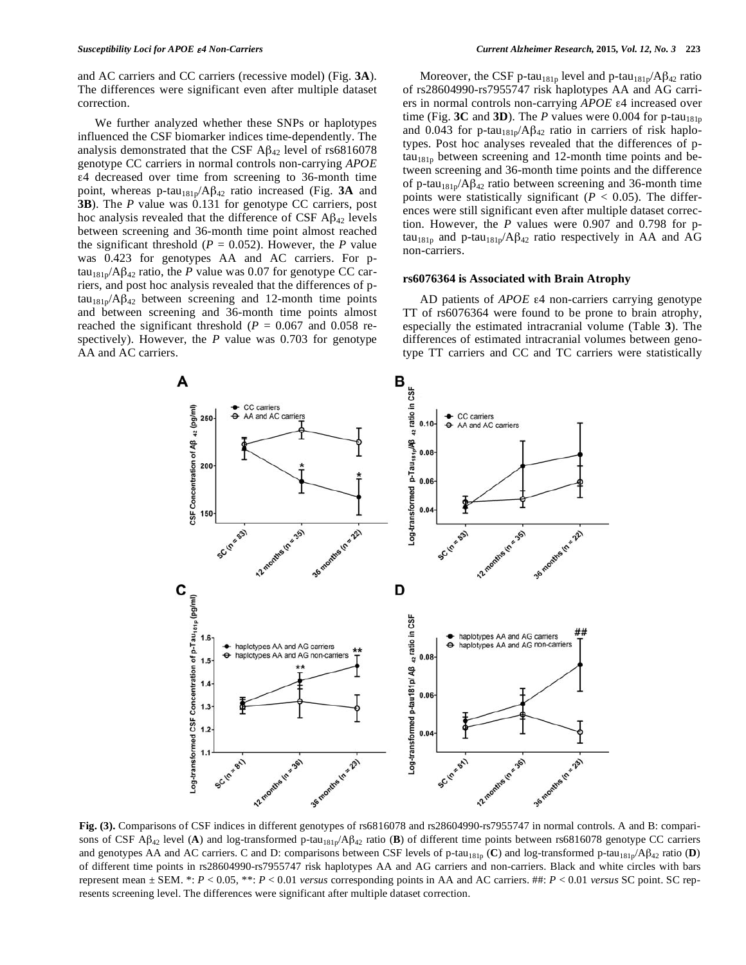and AC carriers and CC carriers (recessive model) (Fig. **3A**). The differences were significant even after multiple dataset correction.

We further analyzed whether these SNPs or haplotypes influenced the CSF biomarker indices time-dependently. The analysis demonstrated that the CSF  $\text{A}\beta_{42}$  level of rs6816078 genotype CC carriers in normal controls non-carrying *APOE* ε4 decreased over time from screening to 36-month time point, whereas p-tau181p/Aβ<sup>42</sup> ratio increased (Fig. **3A** and **3B**). The *P* value was 0.131 for genotype CC carriers, post hoc analysis revealed that the difference of CSF  $\mathbf{A}\mathbf{\beta}_{42}$  levels between screening and 36-month time point almost reached the significant threshold ( $P = 0.052$ ). However, the  $P$  value was 0.423 for genotypes AA and AC carriers. For p $tau_{181p}/A\beta_{42}$  ratio, the *P* value was 0.07 for genotype CC carriers, and post hoc analysis revealed that the differences of p $tau_{181p}/\text{A}\beta_{42}$  between screening and 12-month time points and between screening and 36-month time points almost reached the significant threshold ( $P = 0.067$  and 0.058 respectively). However, the *P* value was 0.703 for genotype AA and AC carriers.

Moreover, the CSF p-tau<sub>181p</sub> level and p-tau<sub>181p</sub>/A $\beta_{42}$  ratio of rs28604990-rs7955747 risk haplotypes AA and AG carriers in normal controls non-carrying *APOE* ε4 increased over time (Fig.  $3C$  and  $3D$ ). The *P* values were 0.004 for p-tau<sub>181p</sub> and 0.043 for p-tau<sub>181p</sub>/A $\beta_{42}$  ratio in carriers of risk haplotypes. Post hoc analyses revealed that the differences of p $tau_{181p}$  between screening and 12-month time points and between screening and 36-month time points and the difference of p-tau<sub>181p</sub>/A $\beta_{42}$  ratio between screening and 36-month time points were statistically significant ( $P < 0.05$ ). The differences were still significant even after multiple dataset correction. However, the *P* values were 0.907 and 0.798 for ptau<sub>181p</sub> and p-tau<sub>181p</sub>/A $\beta_{42}$  ratio respectively in AA and AG non-carriers.

### **rs6076364 is Associated with Brain Atrophy**

AD patients of *APOE* ε4 non-carriers carrying genotype TT of rs6076364 were found to be prone to brain atrophy, especially the estimated intracranial volume (Table **3**). The differences of estimated intracranial volumes between genotype TT carriers and CC and TC carriers were statistically



**Fig. (3).** Comparisons of CSF indices in different genotypes of rs6816078 and rs28604990-rs7955747 in normal controls. A and B: comparisons of CSF A $\beta_{42}$  level (A) and log-transformed p-tau<sub>181p</sub>/A $\beta_{42}$  ratio (B) of different time points between rs6816078 genotype CC carriers and genotypes AA and AC carriers. C and D: comparisons between CSF levels of p-tau<sub>181p</sub> (C) and log-transformed p-tau<sub>181p</sub>/Aβ<sub>42</sub> ratio (**D**) of different time points in rs28604990-rs7955747 risk haplotypes AA and AG carriers and non-carriers. Black and white circles with bars represent mean ± SEM. \*: *P* < 0.05, \*\*: *P* < 0.01 *versus* corresponding points in AA and AC carriers. ##: *P* < 0.01 *versus* SC point. SC represents screening level. The differences were significant after multiple dataset correction.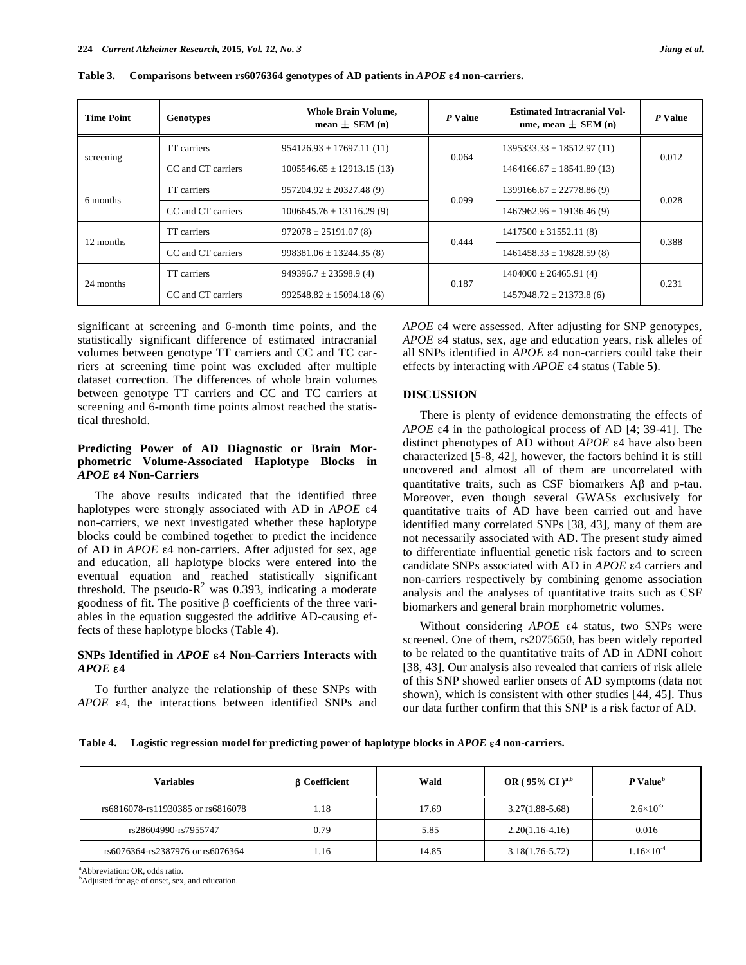| <b>Time Point</b> | <b>Genotypes</b>   | <b>Whole Brain Volume,</b><br>mean $\pm$ SEM (n) | P Value | <b>Estimated Intracranial Vol-</b><br>ume, mean $\pm$ SEM (n) | P Value |  |
|-------------------|--------------------|--------------------------------------------------|---------|---------------------------------------------------------------|---------|--|
| screening         | TT carriers        | $954126.93 \pm 17697.11(11)$                     | 0.064   | $1395333.33 \pm 18512.97(11)$                                 | 0.012   |  |
|                   | CC and CT carriers | $1005546.65 \pm 12913.15(13)$                    |         | $1464166.67 \pm 18541.89(13)$                                 |         |  |
| 6 months          | TT carriers        | $957204.92 \pm 20327.48(9)$                      | 0.099   | $1399166.67 \pm 22778.86(9)$                                  | 0.028   |  |
|                   | CC and CT carriers | $1006645.76 \pm 13116.29(9)$                     |         | $1467962.96 \pm 19136.46(9)$                                  |         |  |
| 12 months         | TT carriers        | $972078 \pm 25191.07(8)$                         |         | $1417500 \pm 31552.11(8)$                                     |         |  |
|                   | CC and CT carriers | $998381.06 \pm 13244.35(8)$                      | 0.444   | $1461458.33 \pm 19828.59(8)$                                  | 0.388   |  |
| 24 months         | TT carriers        | $949396.7 \pm 23598.9$ (4)                       |         | $1404000 \pm 26465.91(4)$                                     | 0.231   |  |
|                   | CC and CT carriers | $992548.82 \pm 15094.18(6)$                      | 0.187   | $1457948.72 \pm 21373.8$ (6)                                  |         |  |

**Table 3. Comparisons between rs6076364 genotypes of AD patients in** *APOE* ε**4 non-carriers.**

significant at screening and 6-month time points, and the statistically significant difference of estimated intracranial volumes between genotype TT carriers and CC and TC carriers at screening time point was excluded after multiple dataset correction. The differences of whole brain volumes between genotype TT carriers and CC and TC carriers at screening and 6-month time points almost reached the statistical threshold.

# **Predicting Power of AD Diagnostic or Brain Morphometric Volume-Associated Haplotype Blocks in** *APOE* ε**4 Non-Carriers**

The above results indicated that the identified three haplotypes were strongly associated with AD in *APOE* ε4 non-carriers, we next investigated whether these haplotype blocks could be combined together to predict the incidence of AD in *APOE* ε4 non-carriers. After adjusted for sex, age and education, all haplotype blocks were entered into the eventual equation and reached statistically significant threshold. The pseudo- $R^2$  was 0.393, indicating a moderate goodness of fit. The positive β coefficients of the three variables in the equation suggested the additive AD-causing effects of these haplotype blocks (Table **4**).

# **SNPs Identified in** *APOE* ε**4 Non-Carriers Interacts with** *APOE* ε**4**

To further analyze the relationship of these SNPs with *APOE* ε4, the interactions between identified SNPs and *APOE* ε4 were assessed. After adjusting for SNP genotypes, *APOE* ε4 status, sex, age and education years, risk alleles of all SNPs identified in *APOE* ε4 non-carriers could take their effects by interacting with *APOE* ε4 status (Table **5**).

# **DISCUSSION**

There is plenty of evidence demonstrating the effects of *APOE* ε4 in the pathological process of AD [4; 39-41]. The distinct phenotypes of AD without *APOE* ε4 have also been characterized [5-8, 42], however, the factors behind it is still uncovered and almost all of them are uncorrelated with quantitative traits, such as CSF biomarkers Aβ and p-tau. Moreover, even though several GWASs exclusively for quantitative traits of AD have been carried out and have identified many correlated SNPs [38, 43], many of them are not necessarily associated with AD. The present study aimed to differentiate influential genetic risk factors and to screen candidate SNPs associated with AD in *APOE* ε4 carriers and non-carriers respectively by combining genome association analysis and the analyses of quantitative traits such as CSF biomarkers and general brain morphometric volumes.

Without considering *APOE* ε4 status, two SNPs were screened. One of them, rs2075650, has been widely reported to be related to the quantitative traits of AD in ADNI cohort [38, 43]. Our analysis also revealed that carriers of risk allele of this SNP showed earlier onsets of AD symptoms (data not shown), which is consistent with other studies [44, 45]. Thus our data further confirm that this SNP is a risk factor of AD.

**Table 4. Logistic regression model for predicting power of haplotype blocks in** *APOE* ε**4 non-carriers.**

| Variables                         | <b>B</b> Coefficient | Wald  | OR ( $95\%$ CI ) <sup>a,b</sup> | P Value <sup>b</sup> |  |
|-----------------------------------|----------------------|-------|---------------------------------|----------------------|--|
| rs6816078-rs11930385 or rs6816078 | 1.18                 | 17.69 | $3.27(1.88-5.68)$               | $2.6 \times 10^{-5}$ |  |
| rs28604990-rs7955747              | 0.79                 | 5.85  | $2.20(1.16-4.16)$               | 0.016                |  |
| rs6076364-rs2387976 or rs6076364  | . 16                 | 14.85 | $3.18(1.76 - 5.72)$             | $1.16\times10^{-4}$  |  |

 $A<sup>a</sup>$ Abbreviation: OR, odds ratio.

<sup>b</sup>Adjusted for age of onset, sex, and education.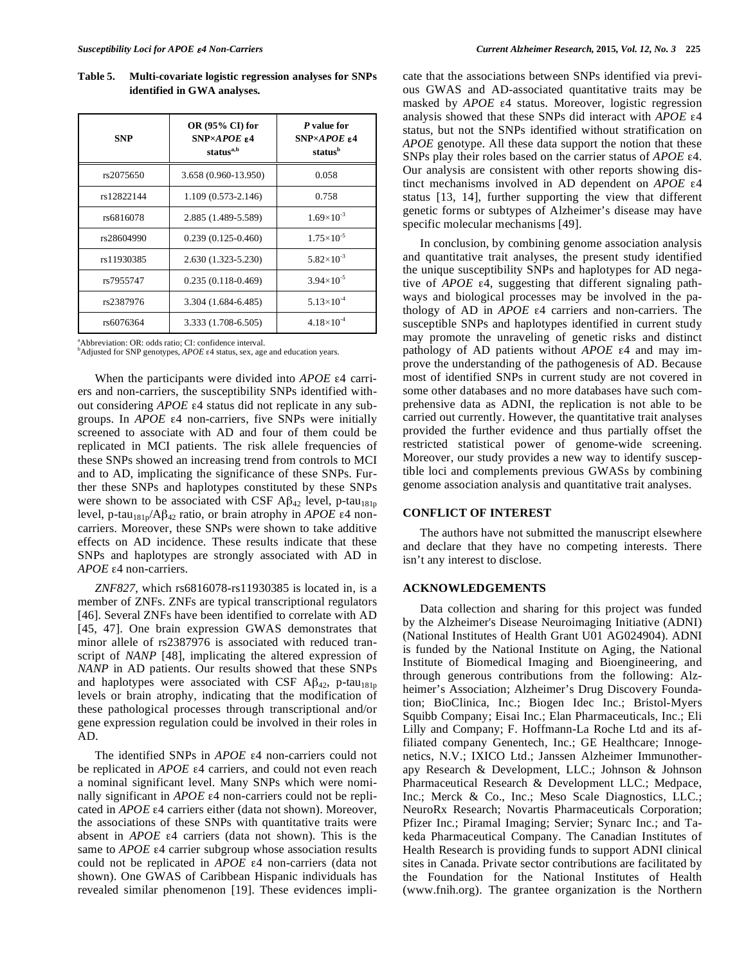| Table 5. | Multi-covariate logistic regression analyses for SNPs |
|----------|-------------------------------------------------------|
|          | identified in GWA analyses.                           |

| <b>SNP</b> | OR (95% CI) for<br>$SNP \times APOE$ £4<br>status <sup>a,b</sup> | P value for<br>$SNP \times APOE$ £4<br>status <sup>b</sup> |  |  |
|------------|------------------------------------------------------------------|------------------------------------------------------------|--|--|
| rs2075650  | 3.658 (0.960-13.950)                                             | 0.058                                                      |  |  |
| rs12822144 | 1.109 (0.573-2.146)                                              | 0.758                                                      |  |  |
| rs6816078  | 2.885 (1.489-5.589)                                              | $1.69\times10^{-3}$                                        |  |  |
| rs28604990 | $0.239(0.125 - 0.460)$                                           | $1.75 \times 10^{-5}$                                      |  |  |
| rs11930385 | 2.630 (1.323-5.230)                                              | $5.82\times10^{-3}$                                        |  |  |
| rs7955747  | $0.235(0.118-0.469)$                                             | $3.94 \times 10^{-5}$                                      |  |  |
| rs2387976  | 3.304 (1.684-6.485)                                              | $5.13 \times 10^{-4}$                                      |  |  |
| rs6076364  | 3.333 (1.708-6.505)                                              | $4.18\times10^{-4}$                                        |  |  |

 $^{a}$ Abbreviation: OR: odds ratio; CI: confidence interval.

<sup>b</sup>Adjusted for SNP genotypes, *APOE* ε4 status, sex, age and education years.

When the participants were divided into *APOE* ε4 carriers and non-carriers, the susceptibility SNPs identified without considering *APOE* ε4 status did not replicate in any subgroups. In *APOE* ε4 non-carriers, five SNPs were initially screened to associate with AD and four of them could be replicated in MCI patients. The risk allele frequencies of these SNPs showed an increasing trend from controls to MCI and to AD, implicating the significance of these SNPs. Further these SNPs and haplotypes constituted by these SNPs were shown to be associated with CSF A $\beta_{42}$  level, p-tau<sub>181p</sub> level, p-tau<sub>181p</sub>/Aβ<sub>42</sub> ratio, or brain atrophy in *APOE* ε4 noncarriers. Moreover, these SNPs were shown to take additive effects on AD incidence. These results indicate that these SNPs and haplotypes are strongly associated with AD in *APOE* ε4 non-carriers.

*ZNF827*, which rs6816078-rs11930385 is located in, is a member of ZNFs. ZNFs are typical transcriptional regulators [46]. Several ZNFs have been identified to correlate with AD [45, 47]. One brain expression GWAS demonstrates that minor allele of rs2387976 is associated with reduced transcript of *NANP* [48], implicating the altered expression of *NANP* in AD patients. Our results showed that these SNPs and haplotypes were associated with CSF  $\mathbf{A}\beta_{42}$ , p-tau<sub>181p</sub> levels or brain atrophy, indicating that the modification of these pathological processes through transcriptional and/or gene expression regulation could be involved in their roles in AD.

The identified SNPs in *APOE* ε4 non-carriers could not be replicated in *APOE* ε4 carriers, and could not even reach a nominal significant level. Many SNPs which were nominally significant in *APOE* ε4 non-carriers could not be replicated in *APOE* ε4 carriers either (data not shown). Moreover, the associations of these SNPs with quantitative traits were absent in *APOE* ε4 carriers (data not shown). This is the same to *APOE* ε4 carrier subgroup whose association results could not be replicated in *APOE* ε4 non-carriers (data not shown). One GWAS of Caribbean Hispanic individuals has revealed similar phenomenon [19]. These evidences implicate that the associations between SNPs identified via previous GWAS and AD-associated quantitative traits may be masked by *APOE* ε4 status. Moreover, logistic regression analysis showed that these SNPs did interact with *APOE* ε4 status, but not the SNPs identified without stratification on *APOE* genotype. All these data support the notion that these SNPs play their roles based on the carrier status of *APOE* ε4. Our analysis are consistent with other reports showing distinct mechanisms involved in AD dependent on *APOE* ε4 status [13, 14], further supporting the view that different genetic forms or subtypes of Alzheimer's disease may have specific molecular mechanisms [49].

In conclusion, by combining genome association analysis and quantitative trait analyses, the present study identified the unique susceptibility SNPs and haplotypes for AD negative of *APOE* ε4, suggesting that different signaling pathways and biological processes may be involved in the pathology of AD in *APOE* ε4 carriers and non-carriers. The susceptible SNPs and haplotypes identified in current study may promote the unraveling of genetic risks and distinct pathology of AD patients without *APOE* ε4 and may improve the understanding of the pathogenesis of AD. Because most of identified SNPs in current study are not covered in some other databases and no more databases have such comprehensive data as ADNI, the replication is not able to be carried out currently. However, the quantitative trait analyses provided the further evidence and thus partially offset the restricted statistical power of genome-wide screening. Moreover, our study provides a new way to identify susceptible loci and complements previous GWASs by combining genome association analysis and quantitative trait analyses.

# **CONFLICT OF INTEREST**

The authors have not submitted the manuscript elsewhere and declare that they have no competing interests. There isn't any interest to disclose.

# **ACKNOWLEDGEMENTS**

Data collection and sharing for this project was funded by the Alzheimer's Disease Neuroimaging Initiative (ADNI) (National Institutes of Health Grant U01 AG024904). ADNI is funded by the National Institute on Aging, the National Institute of Biomedical Imaging and Bioengineering, and through generous contributions from the following: Alzheimer's Association; Alzheimer's Drug Discovery Foundation; BioClinica, Inc.; Biogen Idec Inc.; Bristol-Myers Squibb Company; Eisai Inc.; Elan Pharmaceuticals, Inc.; Eli Lilly and Company; F. Hoffmann-La Roche Ltd and its affiliated company Genentech, Inc.; GE Healthcare; Innogenetics, N.V.; IXICO Ltd.; Janssen Alzheimer Immunotherapy Research & Development, LLC.; Johnson & Johnson Pharmaceutical Research & Development LLC.; Medpace, Inc.; Merck & Co., Inc.; Meso Scale Diagnostics, LLC.; NeuroRx Research; Novartis Pharmaceuticals Corporation; Pfizer Inc.; Piramal Imaging; Servier; Synarc Inc.; and Takeda Pharmaceutical Company. The Canadian Institutes of Health Research is providing funds to support ADNI clinical sites in Canada. Private sector contributions are facilitated by the Foundation for the National Institutes of Health (www.fnih.org). The grantee organization is the Northern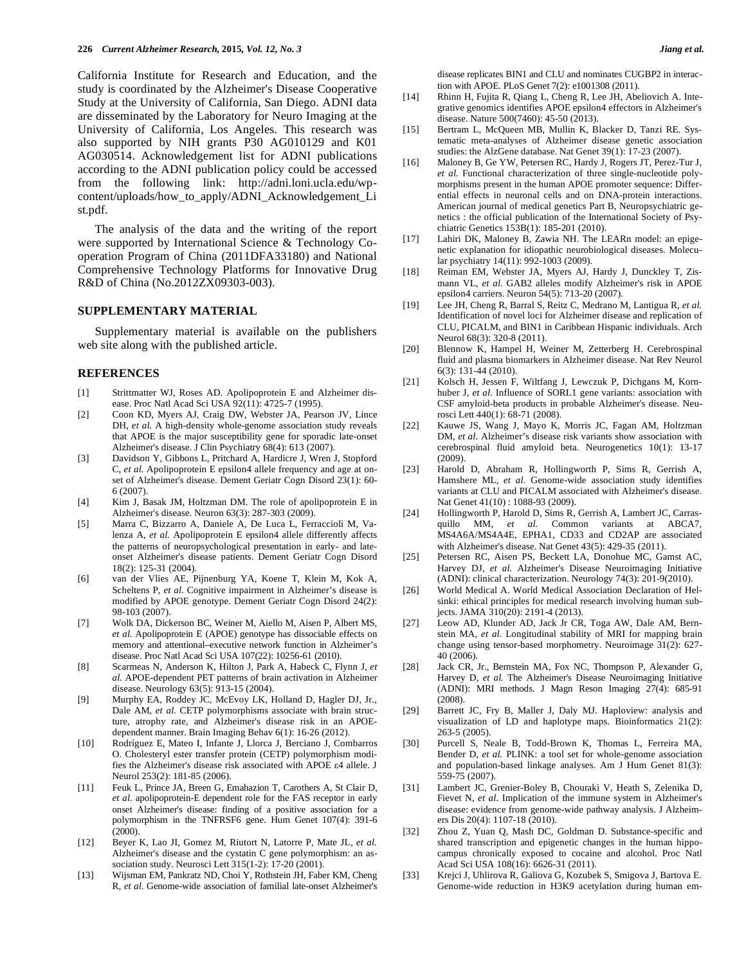California Institute for Research and Education, and the study is coordinated by the Alzheimer's Disease Cooperative Study at the University of California, San Diego. ADNI data are disseminated by the Laboratory for Neuro Imaging at the University of California, Los Angeles. This research was also supported by NIH grants P30 AG010129 and K01 AG030514. Acknowledgement list for ADNI publications according to the ADNI publication policy could be accessed from the following link: http://adni.loni.ucla.edu/wpcontent/uploads/how\_to\_apply/ADNI\_Acknowledgement\_Li st.pdf.

The analysis of the data and the writing of the report were supported by International Science & Technology Cooperation Program of China (2011DFA33180) and National Comprehensive Technology Platforms for Innovative Drug R&D of China (No.2012ZX09303-003).

#### **SUPPLEMENTARY MATERIAL**

Supplementary material is available on the publishers web site along with the published article.

## **REFERENCES**

- [1] Strittmatter WJ, Roses AD. Apolipoprotein E and Alzheimer disease. Proc Natl Acad Sci USA 92(11): 4725-7 (1995).
- [2] Coon KD, Myers AJ, Craig DW, Webster JA, Pearson JV, Lince DH, *et al.* A high-density whole-genome association study reveals that APOE is the major susceptibility gene for sporadic late-onset Alzheimer's disease. J Clin Psychiatry 68(4): 613 (2007).
- [3] Davidson Y, Gibbons L, Pritchard A, Hardicre J, Wren J, Stopford C, et al. Apolipoprotein E epsilon4 allele frequency and age at onset of Alzheimer's disease. Dement Geriatr Cogn Disord 23(1): 60- 6 (2007).
- [4] Kim J, Basak JM, Holtzman DM. The role of apolipoprotein E in Alzheimer's disease. Neuron 63(3): 287-303 (2009).
- [5] Marra C, Bizzarro A, Daniele A, De Luca L, Ferraccioli M, Valenza A, *et al.* Apolipoprotein E epsilon4 allele differently affects the patterns of neuropsychological presentation in early- and lateonset Alzheimer's disease patients. Dement Geriatr Cogn Disord 18(2): 125-31 (2004).
- [6] van der Vlies AE, Pijnenburg YA, Koene T, Klein M, Kok A, Scheltens P, et al. Cognitive impairment in Alzheimer's disease is modified by APOE genotype. Dement Geriatr Cogn Disord 24(2): 98-103 (2007).
- [7] Wolk DA, Dickerson BC, Weiner M, Aiello M, Aisen P, Albert MS*, et al.* Apolipoprotein E (APOE) genotype has dissociable effects on memory and attentional–executive network function in Alzheimer's disease. Proc Natl Acad Sci USA 107(22): 10256-61 (2010).
- [8] Scarmeas N, Anderson K, Hilton J, Park A, Habeck C, Flynn J, *et al.* APOE-dependent PET patterns of brain activation in Alzheimer disease. Neurology 63(5): 913-15 (2004).
- [9] Murphy EA, Roddey JC, McEvoy LK, Holland D, Hagler DJ, Jr., Dale AM, *et al.* CETP polymorphisms associate with brain structure, atrophy rate, and Alzheimer's disease risk in an APOEdependent manner. Brain Imaging Behav 6(1): 16-26 (2012).
- [10] Rodríguez E, Mateo I, Infante J, Llorca J, Berciano J, Combarros O. Cholesteryl ester transfer protein (CETP) polymorphism modifies the Alzheimer's disease risk associated with APOE ε4 allele. J Neurol 253(2): 181-85 (2006).
- [11] Feuk L, Prince JA, Breen G, Emahazion T, Carothers A, St Clair D, *et al.* apolipoprotein-E dependent role for the FAS receptor in early onset Alzheimer's disease: finding of a positive association for a polymorphism in the TNFRSF6 gene. Hum Genet 107(4): 391-6 (2000).
- [12] Beyer K, Lao JI, Gomez M, Riutort N, Latorre P, Mate JL, *et al.* Alzheimer's disease and the cystatin C gene polymorphism: an association study. Neurosci Lett 315(1-2): 17-20 (2001).
- [13] Wijsman EM, Pankratz ND, Choi Y, Rothstein JH, Faber KM, Cheng R*, et al.* Genome-wide association of familial late-onset Alzheimer's

disease replicates BIN1 and CLU and nominates CUGBP2 in interaction with APOE. PLoS Genet 7(2): e1001308 (2011).

- [14] Rhinn H, Fujita R, Qiang L, Cheng R, Lee JH, Abeliovich A. Integrative genomics identifies APOE epsilon4 effectors in Alzheimer's disease. Nature 500(7460): 45-50 (2013).
- [15] Bertram L, McQueen MB, Mullin K, Blacker D, Tanzi RE. Systematic meta-analyses of Alzheimer disease genetic association studies: the AlzGene database. Nat Genet 39(1): 17-23 (2007).
- [16] Maloney B, Ge YW, Petersen RC, Hardy J, Rogers JT, Perez-Tur J*, et al.* Functional characterization of three single-nucleotide polymorphisms present in the human APOE promoter sequence: Differential effects in neuronal cells and on DNA-protein interactions. American journal of medical genetics Part B, Neuropsychiatric genetics : the official publication of the International Society of Psychiatric Genetics 153B(1): 185-201 (2010).
- [17] Lahiri DK, Maloney B, Zawia NH. The LEARn model: an epigenetic explanation for idiopathic neurobiological diseases. Molecular psychiatry 14(11): 992-1003 (2009).
- [18] Reiman EM, Webster JA, Myers AJ, Hardy J, Dunckley T, Zismann VL, *et al.* GAB2 alleles modify Alzheimer's risk in APOE epsilon4 carriers. Neuron 54(5): 713-20 (2007).
- [19] Lee JH, Cheng R, Barral S, Reitz C, Medrano M, Lantigua R, *et al.* Identification of novel loci for Alzheimer disease and replication of CLU, PICALM, and BIN1 in Caribbean Hispanic individuals. Arch Neurol 68(3): 320-8 (2011).
- [20] Blennow K, Hampel H, Weiner M, Zetterberg H. Cerebrospinal fluid and plasma biomarkers in Alzheimer disease. Nat Rev Neurol 6(3): 131-44 (2010).
- [21] Kolsch H, Jessen F, Wiltfang J, Lewczuk P, Dichgans M, Kornhuber J, et al. Influence of SORL1 gene variants: association with CSF amyloid-beta products in probable Alzheimer's disease. Neurosci Lett 440(1): 68-71 (2008).
- [22] Kauwe JS, Wang J, Mayo K, Morris JC, Fagan AM, Holtzman DM, *et al.* Alzheimer's disease risk variants show association with cerebrospinal fluid amyloid beta. Neurogenetics 10(1): 13-17 (2009).
- [23] Harold D, Abraham R, Hollingworth P, Sims R, Gerrish A, Hamshere ML, *et al.* Genome-wide association study identifies variants at CLU and PICALM associated with Alzheimer's disease. Nat Genet 41(10) : 1088-93 (2009).
- [24] Hollingworth P, Harold D, Sims R, Gerrish A, Lambert JC, Carrasquillo MM, *et al.* Common variants at ABCA7, MS4A6A/MS4A4E, EPHA1, CD33 and CD2AP are associated with Alzheimer's disease. Nat Genet 43(5): 429-35 (2011).
- [25] Petersen RC, Aisen PS, Beckett LA, Donohue MC, Gamst AC, Harvey DJ, *et al.* Alzheimer's Disease Neuroimaging Initiative (ADNI): clinical characterization. Neurology 74(3): 201-9(2010).
- [26] World Medical A. World Medical Association Declaration of Helsinki: ethical principles for medical research involving human subjects. JAMA 310(20): 2191-4 (2013).
- [27] Leow AD, Klunder AD, Jack Jr CR, Toga AW, Dale AM, Bernstein MA, *et al.* Longitudinal stability of MRI for mapping brain change using tensor-based morphometry. Neuroimage 31(2): 627- 40 (2006).
- [28] Jack CR, Jr., Bernstein MA, Fox NC, Thompson P, Alexander G, Harvey D, *et al.* The Alzheimer's Disease Neuroimaging Initiative (ADNI): MRI methods. J Magn Reson Imaging 27(4): 685-91 (2008).
- [29] Barrett JC, Fry B, Maller J, Daly MJ. Haploview: analysis and visualization of LD and haplotype maps. Bioinformatics 21(2): 263-5 (2005).
- [30] Purcell S, Neale B, Todd-Brown K, Thomas L, Ferreira MA, Bender D, *et al.* PLINK: a tool set for whole-genome association and population-based linkage analyses. Am J Hum Genet 81(3): 559-75 (2007).
- [31] Lambert JC, Grenier-Boley B, Chouraki V, Heath S, Zelenika D, Fievet N, *et al.* Implication of the immune system in Alzheimer's disease: evidence from genome-wide pathway analysis. J Alzheimers Dis 20(4): 1107-18 (2010).
- [32] Zhou Z, Yuan Q, Mash DC, Goldman D. Substance-specific and shared transcription and epigenetic changes in the human hippocampus chronically exposed to cocaine and alcohol. Proc Natl Acad Sci USA 108(16): 6626-31 (2011).
- [33] Krejci J, Uhlirova R, Galiova G, Kozubek S, Smigova J, Bartova E. Genome-wide reduction in H3K9 acetylation during human em-